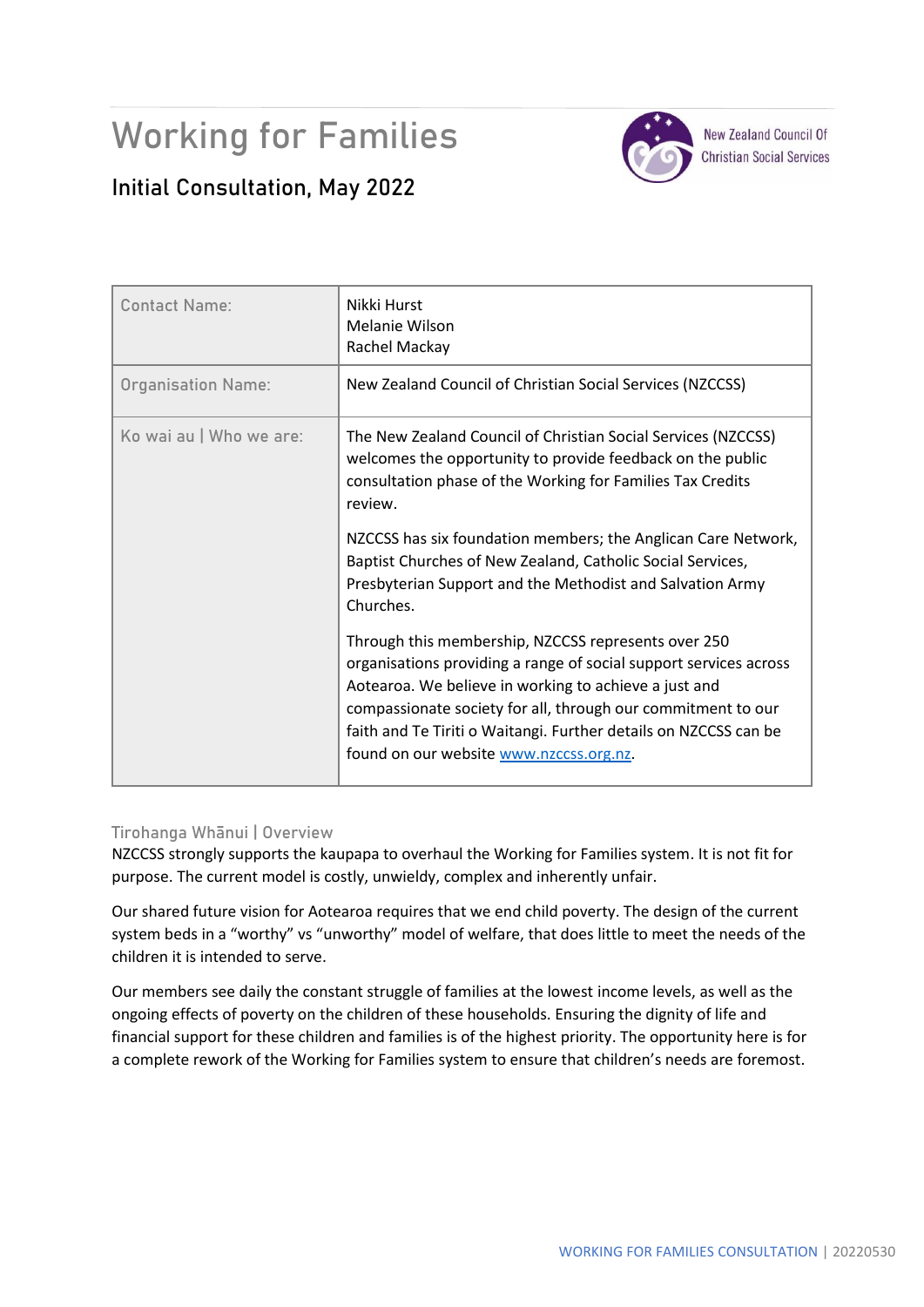# Working for Families



**New Zealand Council Of Christian Social Services** 

# **Initial Consultation, May 2022**

| <b>Contact Name:</b>      | Nikki Hurst<br>Melanie Wilson<br>Rachel Mackay                                                                                                                                                                                                                                                                                                                   |
|---------------------------|------------------------------------------------------------------------------------------------------------------------------------------------------------------------------------------------------------------------------------------------------------------------------------------------------------------------------------------------------------------|
| <b>Organisation Name:</b> | New Zealand Council of Christian Social Services (NZCCSS)                                                                                                                                                                                                                                                                                                        |
| Ko wai au   Who we are:   | The New Zealand Council of Christian Social Services (NZCCSS)<br>welcomes the opportunity to provide feedback on the public<br>consultation phase of the Working for Families Tax Credits<br>review.                                                                                                                                                             |
|                           | NZCCSS has six foundation members; the Anglican Care Network,<br>Baptist Churches of New Zealand, Catholic Social Services,<br>Presbyterian Support and the Methodist and Salvation Army<br>Churches.                                                                                                                                                            |
|                           | Through this membership, NZCCSS represents over 250<br>organisations providing a range of social support services across<br>Aotearoa. We believe in working to achieve a just and<br>compassionate society for all, through our commitment to our<br>faith and Te Tiriti o Waitangi. Further details on NZCCSS can be<br>found on our website www.nzccss.org.nz. |

# **Tirohanga Whānui | Overview**

NZCCSS strongly supports the kaupapa to overhaul the Working for Families system. It is not fit for purpose. The current model is costly, unwieldy, complex and inherently unfair.

Our shared future vision for Aotearoa requires that we end child poverty. The design of the current system beds in a "worthy" vs "unworthy" model of welfare, that does little to meet the needs of the children it is intended to serve.

Our members see daily the constant struggle of families at the lowest income levels, as well as the ongoing effects of poverty on the children of these households. Ensuring the dignity of life and financial support for these children and families is of the highest priority. The opportunity here is for a complete rework of the Working for Families system to ensure that children's needs are foremost.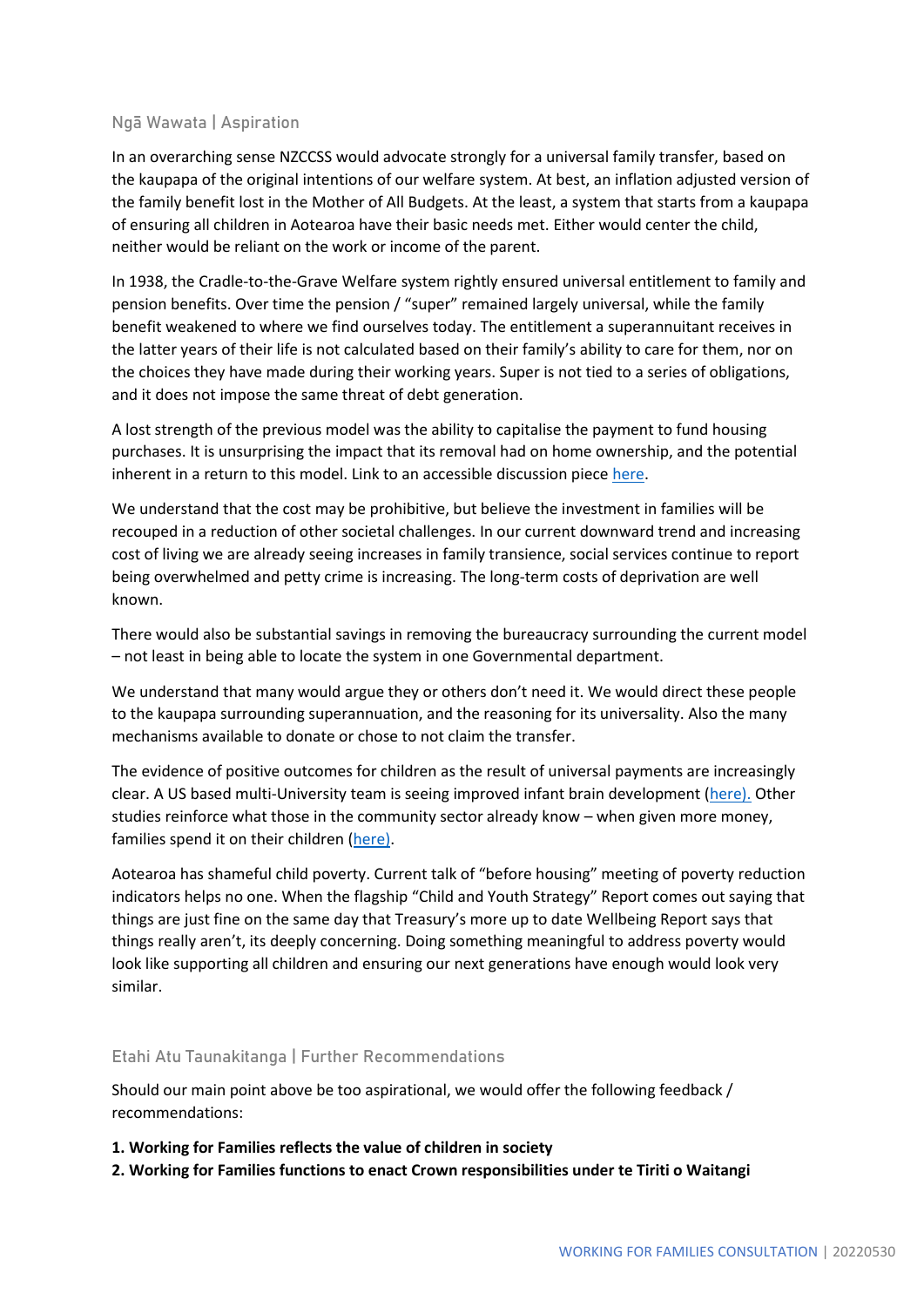#### **Ngā Wawata | Aspiration**

In an overarching sense NZCCSS would advocate strongly for a universal family transfer, based on the kaupapa of the original intentions of our welfare system. At best, an inflation adjusted version of the family benefit lost in the Mother of All Budgets. At the least, a system that starts from a kaupapa of ensuring all children in Aotearoa have their basic needs met. Either would center the child, neither would be reliant on the work or income of the parent.

In 1938, the Cradle-to-the-Grave Welfare system rightly ensured universal entitlement to family and pension benefits. Over time the pension / "super" remained largely universal, while the family benefit weakened to where we find ourselves today. The entitlement a superannuitant receives in the latter years of their life is not calculated based on their family's ability to care for them, nor on the choices they have made during their working years. Super is not tied to a series of obligations, and it does not impose the same threat of debt generation.

A lost strength of the previous model was the ability to capitalise the payment to fund housing purchases. It is unsurprising the impact that its removal had on home ownership, and the potential inherent in a return to this model. Link to an accessible discussion piec[e here.](https://www.nzherald.co.nz/property/family-benefit-paid-home-deposit/AROHTNCQGMJC4CJCRQRBAZFE4Y/)

We understand that the cost may be prohibitive, but believe the investment in families will be recouped in a reduction of other societal challenges. In our current downward trend and increasing cost of living we are already seeing increases in family transience, social services continue to report being overwhelmed and petty crime is increasing. The long-term costs of deprivation are well known.

There would also be substantial savings in removing the bureaucracy surrounding the current model – not least in being able to locate the system in one Governmental department.

We understand that many would argue they or others don't need it. We would direct these people to the kaupapa surrounding superannuation, and the reasoning for its universality. Also the many mechanisms available to donate or chose to not claim the transfer.

The evidence of positive outcomes for children as the result of universal payments are increasingly clear. A US based multi-University team is seeing improved infant brain development [\(here\).](https://sanford.duke.edu/story/study-shows-cash-payments-low-income-families-impact-infant-brain-development/) Other studies reinforce what those in the community sector already know – when given more money, families spend it on their children [\(here\).](https://news.wsu.edu/press-release/2021/10/28/poor-parents-receiving-universal-payments-increase-spending-on-kids/)

Aotearoa has shameful child poverty. Current talk of "before housing" meeting of poverty reduction indicators helps no one. When the flagship "Child and Youth Strategy" Report comes out saying that things are just fine on the same day that Treasury's more up to date Wellbeing Report says that things really aren't, its deeply concerning. Doing something meaningful to address poverty would look like supporting all children and ensuring our next generations have enough would look very similar.

#### **Etahi Atu Taunakitanga | Further Recommendations**

Should our main point above be too aspirational, we would offer the following feedback / recommendations:

**1. Working for Families reflects the value of children in society** 

**2. Working for Families functions to enact Crown responsibilities under te Tiriti o Waitangi**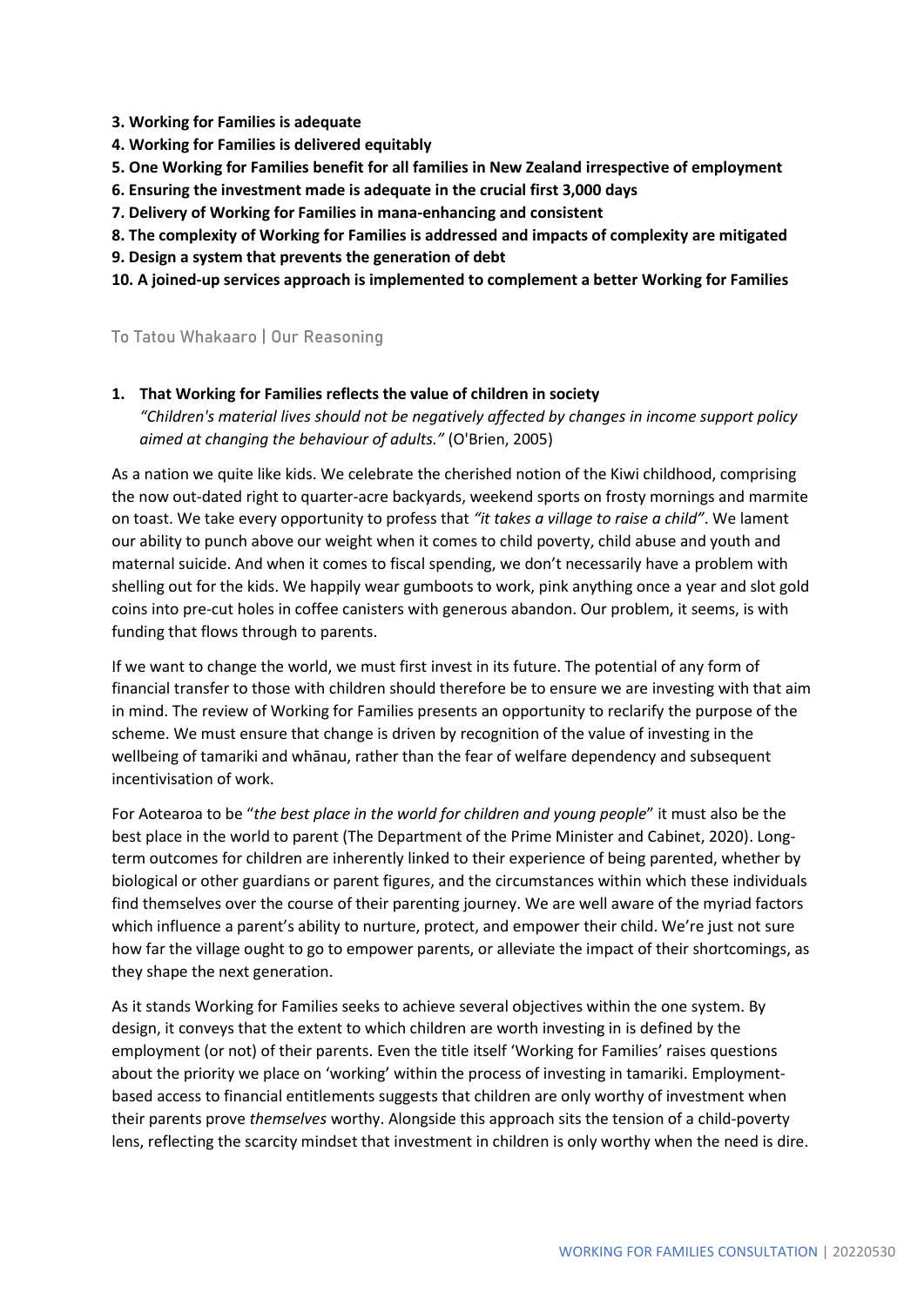- **3. Working for Families is adequate**
- **4. Working for Families is delivered equitably**
- **5. One Working for Families benefit for all families in New Zealand irrespective of employment**
- **6. Ensuring the investment made is adequate in the crucial first 3,000 days**
- **7. Delivery of Working for Families in mana-enhancing and consistent**
- **8. The complexity of Working for Families is addressed and impacts of complexity are mitigated**
- **9. Design a system that prevents the generation of debt**
- **10. A joined-up services approach is implemented to complement a better Working for Families**

#### **To Tatou Whakaaro | Our Reasoning**

**1. That Working for Families reflects the value of children in society** 

*"Children's material lives should not be negatively affected by changes in income support policy aimed at changing the behaviour of adults."* (O'Brien, 2005)

As a nation we quite like kids. We celebrate the cherished notion of the Kiwi childhood, comprising the now out-dated right to quarter-acre backyards, weekend sports on frosty mornings and marmite on toast. We take every opportunity to profess that *"it takes a village to raise a child"*. We lament our ability to punch above our weight when it comes to child poverty, child abuse and youth and maternal suicide. And when it comes to fiscal spending, we don't necessarily have a problem with shelling out for the kids. We happily wear gumboots to work, pink anything once a year and slot gold coins into pre-cut holes in coffee canisters with generous abandon. Our problem, it seems, is with funding that flows through to parents.

If we want to change the world, we must first invest in its future. The potential of any form of financial transfer to those with children should therefore be to ensure we are investing with that aim in mind. The review of Working for Families presents an opportunity to reclarify the purpose of the scheme. We must ensure that change is driven by recognition of the value of investing in the wellbeing of tamariki and whānau, rather than the fear of welfare dependency and subsequent incentivisation of work.

For Aotearoa to be "*the best place in the world for children and young people*" it must also be the best place in the world to parent (The Department of the Prime Minister and Cabinet, 2020). Longterm outcomes for children are inherently linked to their experience of being parented, whether by biological or other guardians or parent figures, and the circumstances within which these individuals find themselves over the course of their parenting journey. We are well aware of the myriad factors which influence a parent's ability to nurture, protect, and empower their child. We're just not sure how far the village ought to go to empower parents, or alleviate the impact of their shortcomings, as they shape the next generation.

As it stands Working for Families seeks to achieve several objectives within the one system. By design, it conveys that the extent to which children are worth investing in is defined by the employment (or not) of their parents. Even the title itself 'Working for Families' raises questions about the priority we place on 'working' within the process of investing in tamariki. Employmentbased access to financial entitlements suggests that children are only worthy of investment when their parents prove *themselves* worthy. Alongside this approach sits the tension of a child-poverty lens, reflecting the scarcity mindset that investment in children is only worthy when the need is dire.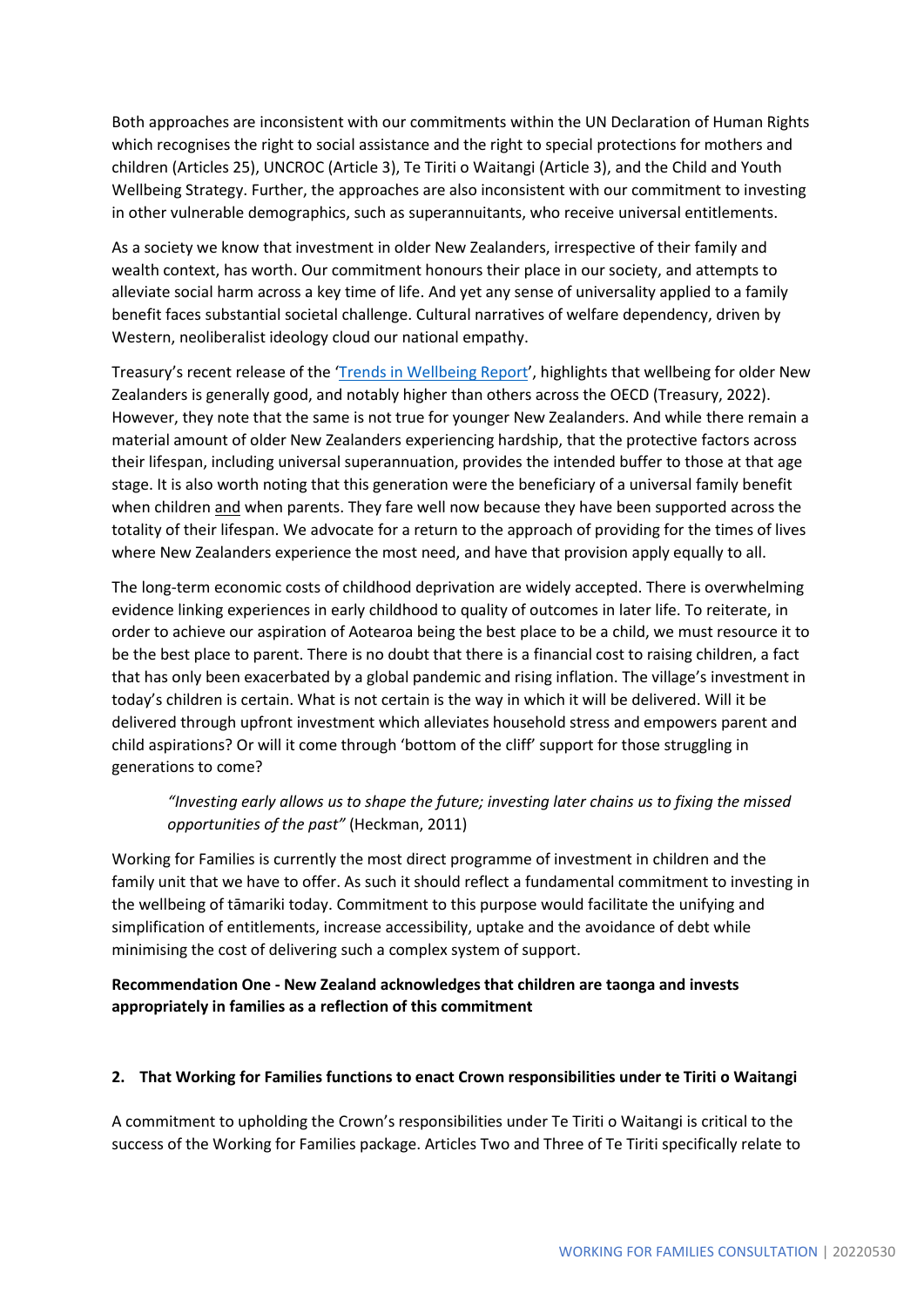Both approaches are inconsistent with our commitments within the UN Declaration of Human Rights which recognises the right to social assistance and the right to special protections for mothers and children (Articles 25), UNCROC (Article 3), Te Tiriti o Waitangi (Article 3), and the Child and Youth Wellbeing Strategy. Further, the approaches are also inconsistent with our commitment to investing in other vulnerable demographics, such as superannuitants, who receive universal entitlements.

As a society we know that investment in older New Zealanders, irrespective of their family and wealth context, has worth. Our commitment honours their place in our society, and attempts to alleviate social harm across a key time of life. And yet any sense of universality applied to a family benefit faces substantial societal challenge. Cultural narratives of welfare dependency, driven by Western, neoliberalist ideology cloud our national empathy.

Treasury's recent release of the '[Trends in Wellbeing Report](https://www.treasury.govt.nz/publications/background/trends-wellbeing-aotearoa-new-zealand-2000-2020)', highlights that wellbeing for older New Zealanders is generally good, and notably higher than others across the OECD (Treasury, 2022). However, they note that the same is not true for younger New Zealanders. And while there remain a material amount of older New Zealanders experiencing hardship, that the protective factors across their lifespan, including universal superannuation, provides the intended buffer to those at that age stage. It is also worth noting that this generation were the beneficiary of a universal family benefit when children and when parents. They fare well now because they have been supported across the totality of their lifespan. We advocate for a return to the approach of providing for the times of lives where New Zealanders experience the most need, and have that provision apply equally to all.

The long-term economic costs of childhood deprivation are widely accepted. There is overwhelming evidence linking experiences in early childhood to quality of outcomes in later life. To reiterate, in order to achieve our aspiration of Aotearoa being the best place to be a child, we must resource it to be the best place to parent. There is no doubt that there is a financial cost to raising children, a fact that has only been exacerbated by a global pandemic and rising inflation. The village's investment in today's children is certain. What is not certain is the way in which it will be delivered. Will it be delivered through upfront investment which alleviates household stress and empowers parent and child aspirations? Or will it come through 'bottom of the cliff' support for those struggling in generations to come?

# *"Investing early allows us to shape the future; investing later chains us to fixing the missed opportunities of the past"* (Heckman, 2011)

Working for Families is currently the most direct programme of investment in children and the family unit that we have to offer. As such it should reflect a fundamental commitment to investing in the wellbeing of tāmariki today. Commitment to this purpose would facilitate the unifying and simplification of entitlements, increase accessibility, uptake and the avoidance of debt while minimising the cost of delivering such a complex system of support.

# **Recommendation One - New Zealand acknowledges that children are taonga and invests appropriately in families as a reflection of this commitment**

#### **2. That Working for Families functions to enact Crown responsibilities under te Tiriti o Waitangi**

A commitment to upholding the Crown's responsibilities under Te Tiriti o Waitangi is critical to the success of the Working for Families package. Articles Two and Three of Te Tiriti specifically relate to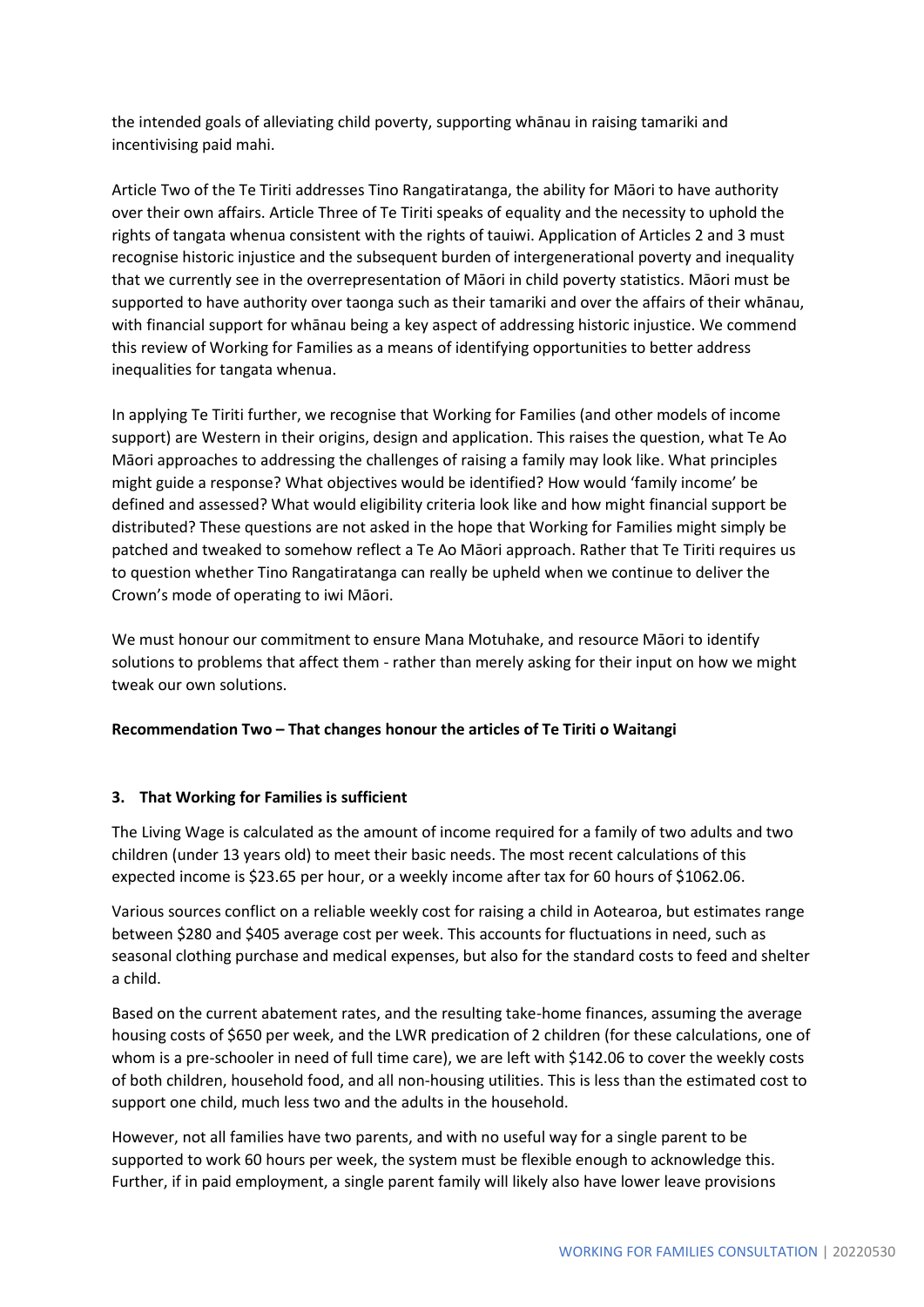the intended goals of alleviating child poverty, supporting whānau in raising tamariki and incentivising paid mahi.

Article Two of the Te Tiriti addresses Tino Rangatiratanga, the ability for Māori to have authority over their own affairs. Article Three of Te Tiriti speaks of equality and the necessity to uphold the rights of tangata whenua consistent with the rights of tauiwi. Application of Articles 2 and 3 must recognise historic injustice and the subsequent burden of intergenerational poverty and inequality that we currently see in the overrepresentation of Māori in child poverty statistics. Māori must be supported to have authority over taonga such as their tamariki and over the affairs of their whānau, with financial support for whānau being a key aspect of addressing historic injustice. We commend this review of Working for Families as a means of identifying opportunities to better address inequalities for tangata whenua.

In applying Te Tiriti further, we recognise that Working for Families (and other models of income support) are Western in their origins, design and application. This raises the question, what Te Ao Māori approaches to addressing the challenges of raising a family may look like. What principles might guide a response? What objectives would be identified? How would 'family income' be defined and assessed? What would eligibility criteria look like and how might financial support be distributed? These questions are not asked in the hope that Working for Families might simply be patched and tweaked to somehow reflect a Te Ao Māori approach. Rather that Te Tiriti requires us to question whether Tino Rangatiratanga can really be upheld when we continue to deliver the Crown's mode of operating to iwi Māori.

We must honour our commitment to ensure Mana Motuhake, and resource Māori to identify solutions to problems that affect them - rather than merely asking for their input on how we might tweak our own solutions.

# **Recommendation Two – That changes honour the articles of Te Tiriti o Waitangi**

#### **3. That Working for Families is sufficient**

The Living Wage is calculated as the amount of income required for a family of two adults and two children (under 13 years old) to meet their basic needs. The most recent calculations of this expected income is \$23.65 per hour, or a weekly income after tax for 60 hours of \$1062.06.

Various sources conflict on a reliable weekly cost for raising a child in Aotearoa, but estimates range between \$280 and \$405 average cost per week. This accounts for fluctuations in need, such as seasonal clothing purchase and medical expenses, but also for the standard costs to feed and shelter a child.

Based on the current abatement rates, and the resulting take-home finances, assuming the average housing costs of \$650 per week, and the LWR predication of 2 children (for these calculations, one of whom is a pre-schooler in need of full time care), we are left with \$142.06 to cover the weekly costs of both children, household food, and all non-housing utilities. This is less than the estimated cost to support one child, much less two and the adults in the household.

However, not all families have two parents, and with no useful way for a single parent to be supported to work 60 hours per week, the system must be flexible enough to acknowledge this. Further, if in paid employment, a single parent family will likely also have lower leave provisions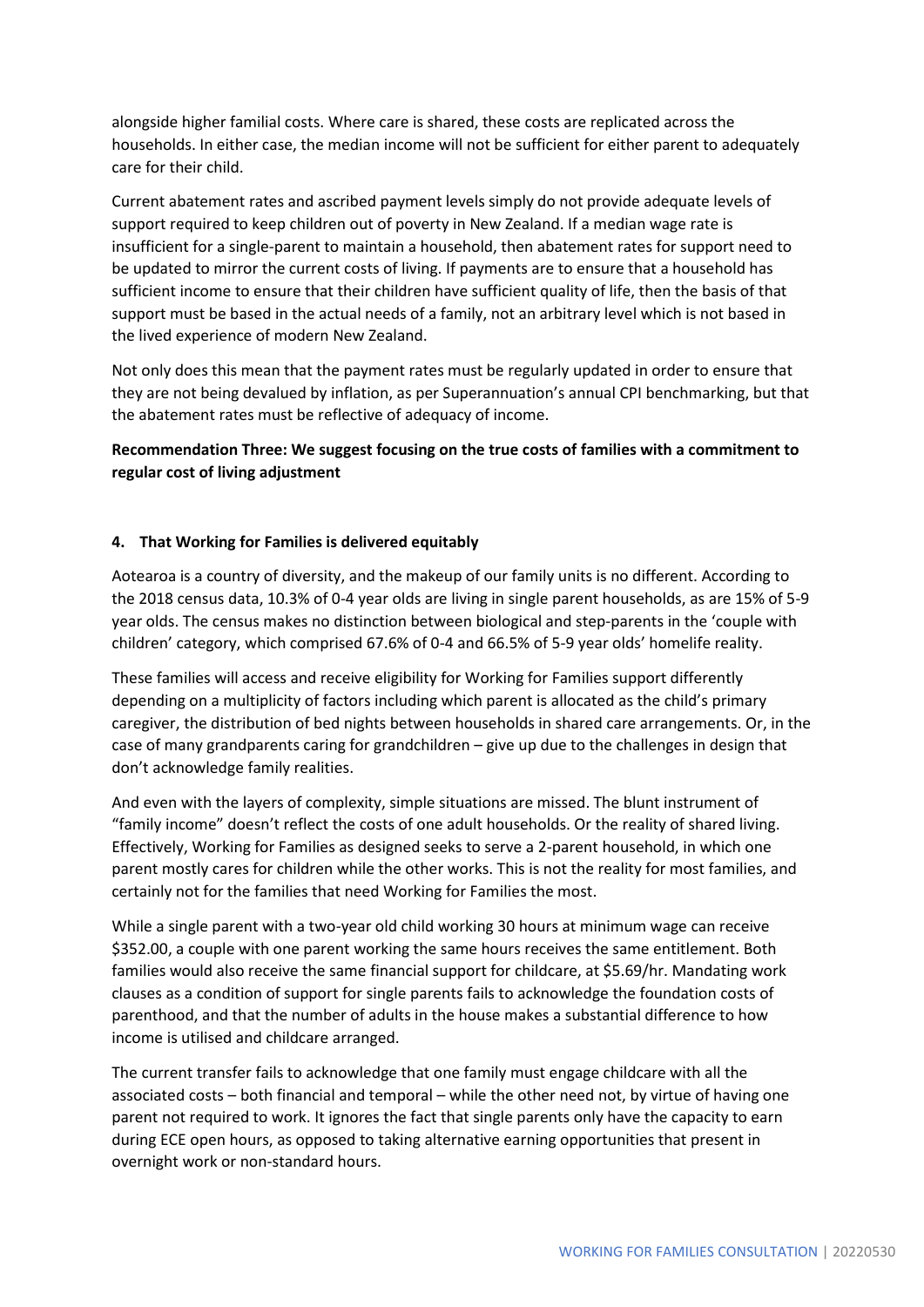alongside higher familial costs. Where care is shared, these costs are replicated across the households. In either case, the median income will not be sufficient for either parent to adequately care for their child.

Current abatement rates and ascribed payment levels simply do not provide adequate levels of support required to keep children out of poverty in New Zealand. If a median wage rate is insufficient for a single-parent to maintain a household, then abatement rates for support need to be updated to mirror the current costs of living. If payments are to ensure that a household has sufficient income to ensure that their children have sufficient quality of life, then the basis of that support must be based in the actual needs of a family, not an arbitrary level which is not based in the lived experience of modern New Zealand.

Not only does this mean that the payment rates must be regularly updated in order to ensure that they are not being devalued by inflation, as per Superannuation's annual CPI benchmarking, but that the abatement rates must be reflective of adequacy of income.

**Recommendation Three: We suggest focusing on the true costs of families with a commitment to regular cost of living adjustment**

#### **4. That Working for Families is delivered equitably**

Aotearoa is a country of diversity, and the makeup of our family units is no different. According to the 2018 census data, 10.3% of 0-4 year olds are living in single parent households, as are 15% of 5-9 year olds. The census makes no distinction between biological and step-parents in the 'couple with children' category, which comprised 67.6% of 0-4 and 66.5% of 5-9 year olds' homelife reality.

These families will access and receive eligibility for Working for Families support differently depending on a multiplicity of factors including which parent is allocated as the child's primary caregiver, the distribution of bed nights between households in shared care arrangements. Or, in the case of many grandparents caring for grandchildren – give up due to the challenges in design that don't acknowledge family realities.

And even with the layers of complexity, simple situations are missed. The blunt instrument of "family income" doesn't reflect the costs of one adult households. Or the reality of shared living. Effectively, Working for Families as designed seeks to serve a 2-parent household, in which one parent mostly cares for children while the other works. This is not the reality for most families, and certainly not for the families that need Working for Families the most.

While a single parent with a two-year old child working 30 hours at minimum wage can receive \$352.00, a couple with one parent working the same hours receives the same entitlement. Both families would also receive the same financial support for childcare, at \$5.69/hr. Mandating work clauses as a condition of support for single parents fails to acknowledge the foundation costs of parenthood, and that the number of adults in the house makes a substantial difference to how income is utilised and childcare arranged.

The current transfer fails to acknowledge that one family must engage childcare with all the associated costs – both financial and temporal – while the other need not, by virtue of having one parent not required to work. It ignores the fact that single parents only have the capacity to earn during ECE open hours, as opposed to taking alternative earning opportunities that present in overnight work or non-standard hours.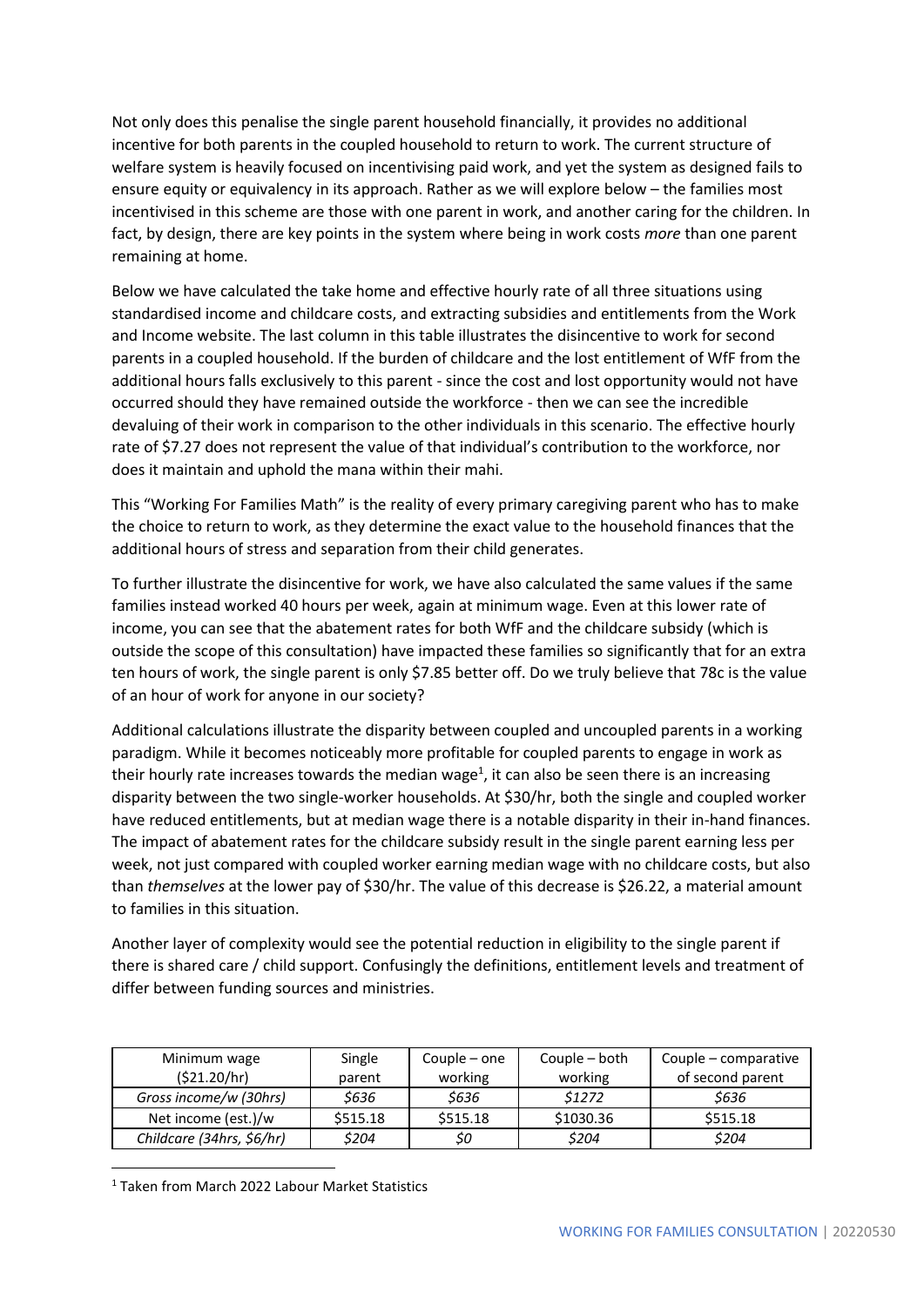Not only does this penalise the single parent household financially, it provides no additional incentive for both parents in the coupled household to return to work. The current structure of welfare system is heavily focused on incentivising paid work, and yet the system as designed fails to ensure equity or equivalency in its approach. Rather as we will explore below – the families most incentivised in this scheme are those with one parent in work, and another caring for the children. In fact, by design, there are key points in the system where being in work costs *more* than one parent remaining at home.

Below we have calculated the take home and effective hourly rate of all three situations using standardised income and childcare costs, and extracting subsidies and entitlements from the Work and Income website. The last column in this table illustrates the disincentive to work for second parents in a coupled household. If the burden of childcare and the lost entitlement of WfF from the additional hours falls exclusively to this parent - since the cost and lost opportunity would not have occurred should they have remained outside the workforce - then we can see the incredible devaluing of their work in comparison to the other individuals in this scenario. The effective hourly rate of \$7.27 does not represent the value of that individual's contribution to the workforce, nor does it maintain and uphold the mana within their mahi.

This "Working For Families Math" is the reality of every primary caregiving parent who has to make the choice to return to work, as they determine the exact value to the household finances that the additional hours of stress and separation from their child generates.

To further illustrate the disincentive for work, we have also calculated the same values if the same families instead worked 40 hours per week, again at minimum wage. Even at this lower rate of income, you can see that the abatement rates for both WfF and the childcare subsidy (which is outside the scope of this consultation) have impacted these families so significantly that for an extra ten hours of work, the single parent is only \$7.85 better off. Do we truly believe that 78c is the value of an hour of work for anyone in our society?

Additional calculations illustrate the disparity between coupled and uncoupled parents in a working paradigm. While it becomes noticeably more profitable for coupled parents to engage in work as their hourly rate increases towards the median wage<sup>1</sup>, it can also be seen there is an increasing disparity between the two single-worker households. At \$30/hr, both the single and coupled worker have reduced entitlements, but at median wage there is a notable disparity in their in-hand finances. The impact of abatement rates for the childcare subsidy result in the single parent earning less per week, not just compared with coupled worker earning median wage with no childcare costs, but also than *themselves* at the lower pay of \$30/hr. The value of this decrease is \$26.22, a material amount to families in this situation.

Another layer of complexity would see the potential reduction in eligibility to the single parent if there is shared care / child support. Confusingly the definitions, entitlement levels and treatment of differ between funding sources and ministries.

| Minimum wage<br>(521.20/hr) | Single<br>parent | Couple $-$ one<br>working | Couple - both<br>working | Couple - comparative<br>of second parent |
|-----------------------------|------------------|---------------------------|--------------------------|------------------------------------------|
| Gross income/w (30hrs)      | \$636            | \$636                     | \$1272                   | \$636                                    |
| Net income (est.)/w         | \$515.18         | \$515.18                  | \$1030.36                | \$515.18                                 |
| Childcare (34hrs, \$6/hr)   | \$204            | \$0                       | \$204                    | \$204                                    |

<sup>1</sup> Taken from March 2022 Labour Market Statistics

**.**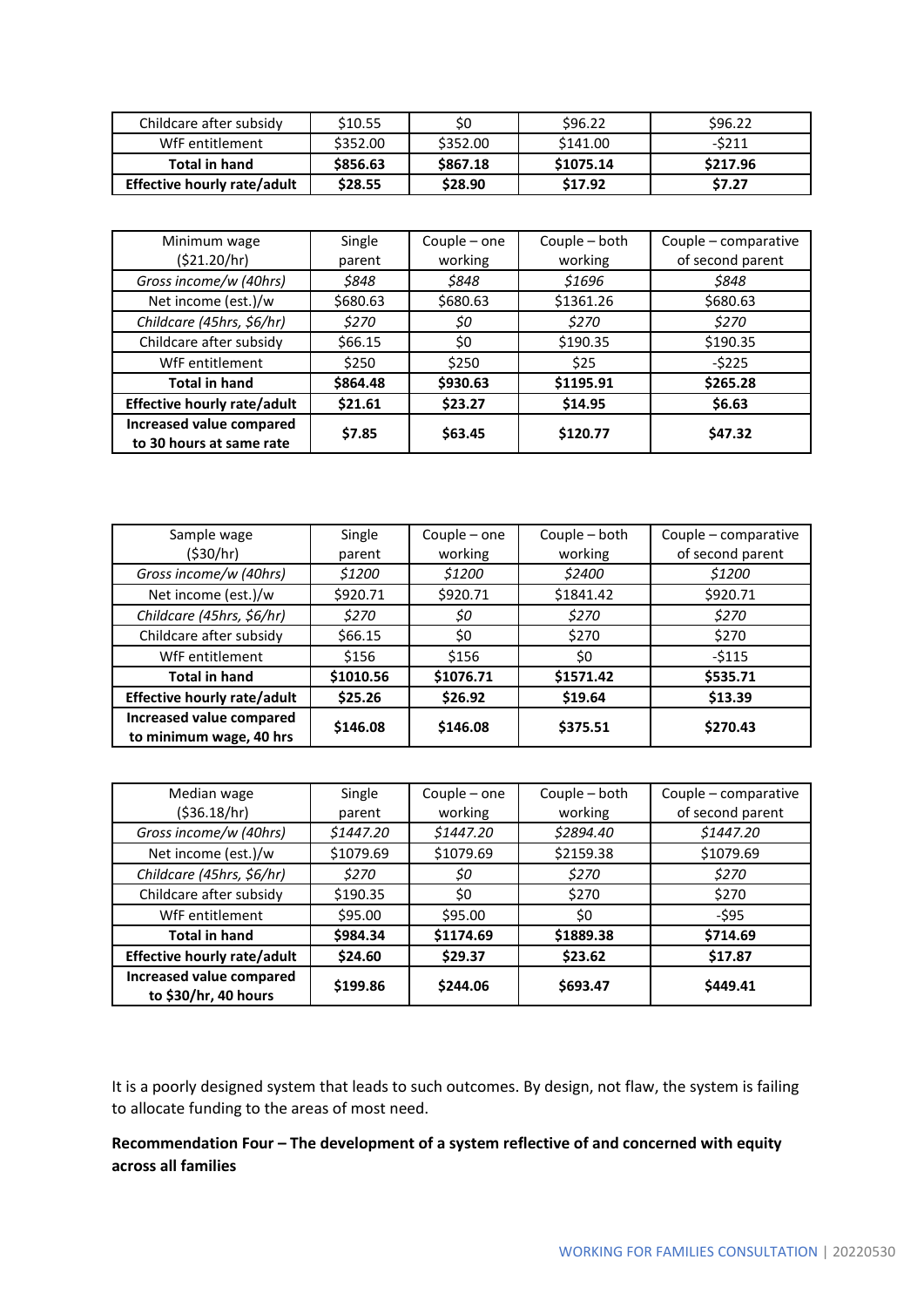| Childcare after subsidy     | \$10.55  | S0       | \$96.22   | \$96.22  |
|-----------------------------|----------|----------|-----------|----------|
| WfF entitlement             | \$352.00 | \$352.00 | \$141.00  | -\$211   |
| <b>Total in hand</b>        | \$856.63 | \$867.18 | \$1075.14 | \$217.96 |
| Effective hourly rate/adult | \$28.55  | \$28.90  | \$17.92   | \$7.27   |

| Minimum wage                                         | Single   | Couple – one | Couple - both | Couple - comparative |
|------------------------------------------------------|----------|--------------|---------------|----------------------|
| (\$21.20/hr)                                         | parent   | working      | working       | of second parent     |
| Gross income/w (40hrs)                               | \$848    | \$848        | \$1696        | \$848                |
| Net income (est.)/w                                  | \$680.63 | \$680.63     | \$1361.26     | \$680.63             |
| Childcare (45hrs, \$6/hr)                            | \$270    | \$0          | \$270         | \$270                |
| Childcare after subsidy                              | \$66.15  | \$0          | \$190.35      | \$190.35             |
| WfF entitlement                                      | \$250    | \$250        | \$25          | $-5225$              |
| <b>Total in hand</b>                                 | \$864.48 | \$930.63     | \$1195.91     | \$265.28             |
| <b>Effective hourly rate/adult</b>                   | \$21.61  | \$23.27      | \$14.95       | \$6.63               |
| Increased value compared<br>to 30 hours at same rate | \$7.85   | \$63.45      | \$120.77      | \$47.32              |

| Sample wage                                         | Single    | Couple – one | Couple - both | Couple - comparative |
|-----------------------------------------------------|-----------|--------------|---------------|----------------------|
| (530/hr)                                            | parent    | working      | working       | of second parent     |
| Gross income/w (40hrs)                              | \$1200    | \$1200       | \$2400        | \$1200               |
| Net income (est.)/w                                 | \$920.71  | \$920.71     | \$1841.42     | \$920.71             |
| Childcare (45hrs, \$6/hr)                           | \$270     | \$0          | \$270         | \$270                |
| Childcare after subsidy                             | \$66.15   | \$0          | \$270         | \$270                |
| WfF entitlement                                     | \$156     | \$156        | \$0           | $-5115$              |
| <b>Total in hand</b>                                | \$1010.56 | \$1076.71    | \$1571.42     | \$535.71             |
| <b>Effective hourly rate/adult</b>                  | \$25.26   | \$26.92      | \$19.64       | \$13.39              |
| Increased value compared<br>to minimum wage, 40 hrs | \$146.08  | \$146.08     | \$375.51      | \$270.43             |

| Median wage                                      | Single    | Couple - one | Couple - both | Couple – comparative |
|--------------------------------------------------|-----------|--------------|---------------|----------------------|
| ( \$36.18/hr)                                    | parent    | working      | working       | of second parent     |
| Gross income/w (40hrs)                           | \$1447.20 | \$1447.20    | \$2894.40     | \$1447.20            |
| Net income (est.)/w                              | \$1079.69 | \$1079.69    | \$2159.38     | \$1079.69            |
| Childcare (45hrs, \$6/hr)                        | \$270     | \$0          | \$270         | \$270                |
| Childcare after subsidy                          | \$190.35  | \$0          | \$270         | \$270                |
| WfF entitlement                                  | \$95.00   | \$95.00      | \$0           | -\$95                |
| <b>Total in hand</b>                             | \$984.34  | \$1174.69    | \$1889.38     | \$714.69             |
| <b>Effective hourly rate/adult</b>               | \$24.60   | \$29.37      | \$23.62       | \$17.87              |
| Increased value compared<br>to \$30/hr, 40 hours | \$199.86  | \$244.06     | \$693.47      | \$449.41             |

It is a poorly designed system that leads to such outcomes. By design, not flaw, the system is failing to allocate funding to the areas of most need.

# **Recommendation Four – The development of a system reflective of and concerned with equity across all families**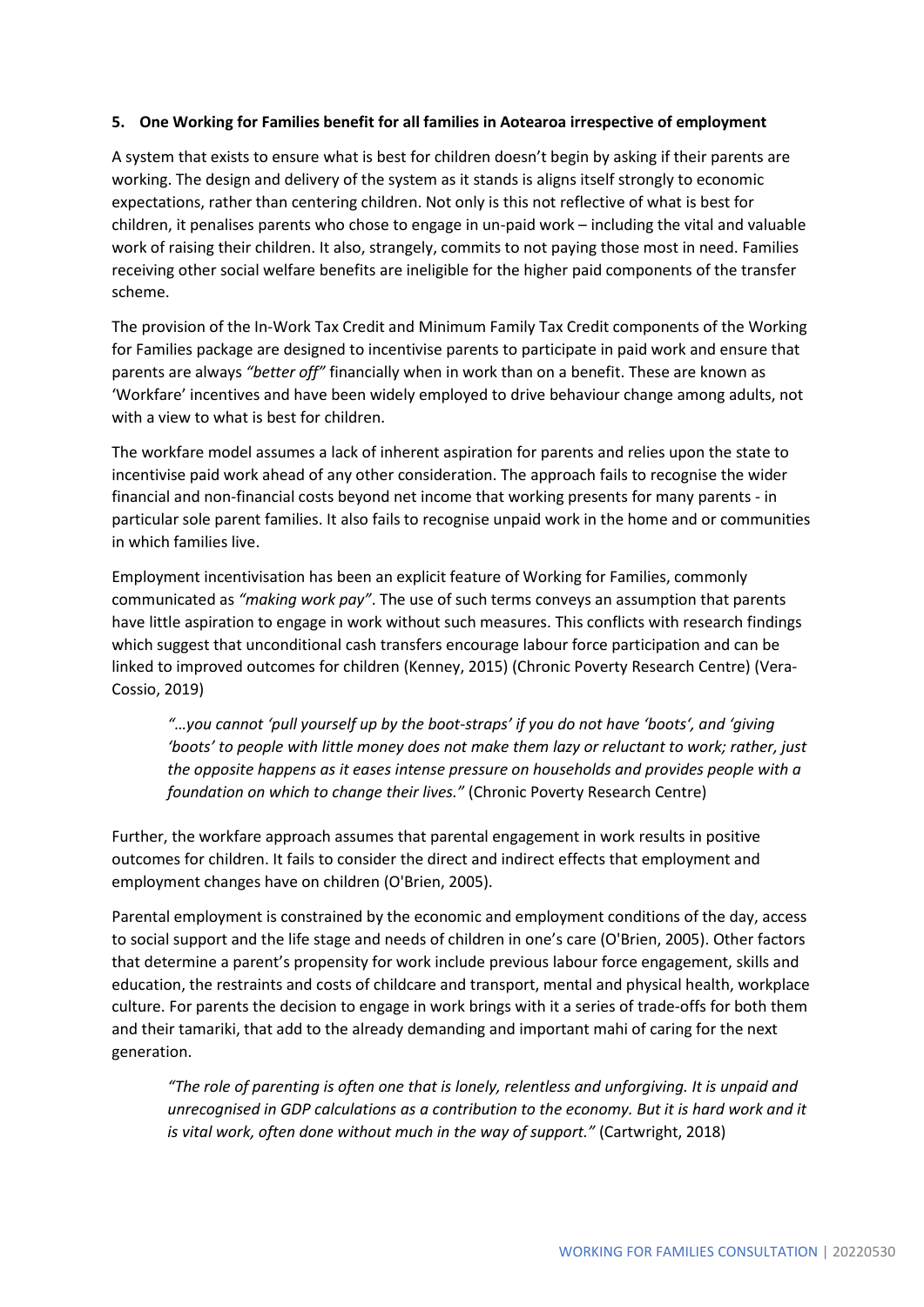#### **5. One Working for Families benefit for all families in Aotearoa irrespective of employment**

A system that exists to ensure what is best for children doesn't begin by asking if their parents are working. The design and delivery of the system as it stands is aligns itself strongly to economic expectations, rather than centering children. Not only is this not reflective of what is best for children, it penalises parents who chose to engage in un-paid work – including the vital and valuable work of raising their children. It also, strangely, commits to not paying those most in need. Families receiving other social welfare benefits are ineligible for the higher paid components of the transfer scheme.

The provision of the In-Work Tax Credit and Minimum Family Tax Credit components of the Working for Families package are designed to incentivise parents to participate in paid work and ensure that parents are always *"better off"* financially when in work than on a benefit. These are known as 'Workfare' incentives and have been widely employed to drive behaviour change among adults, not with a view to what is best for children.

The workfare model assumes a lack of inherent aspiration for parents and relies upon the state to incentivise paid work ahead of any other consideration. The approach fails to recognise the wider financial and non-financial costs beyond net income that working presents for many parents - in particular sole parent families. It also fails to recognise unpaid work in the home and or communities in which families live.

Employment incentivisation has been an explicit feature of Working for Families, commonly communicated as *"making work pay"*. The use of such terms conveys an assumption that parents have little aspiration to engage in work without such measures. This conflicts with research findings which suggest that unconditional cash transfers encourage labour force participation and can be linked to improved outcomes for children (Kenney, 2015) (Chronic Poverty Research Centre) (Vera-Cossio, 2019)

*"…you cannot 'pull yourself up by the boot-straps' if you do not have 'boots', and 'giving 'boots' to people with little money does not make them lazy or reluctant to work; rather, just the opposite happens as it eases intense pressure on households and provides people with a foundation on which to change their lives."* (Chronic Poverty Research Centre)

Further, the workfare approach assumes that parental engagement in work results in positive outcomes for children. It fails to consider the direct and indirect effects that employment and employment changes have on children (O'Brien, 2005).

Parental employment is constrained by the economic and employment conditions of the day, access to social support and the life stage and needs of children in one's care (O'Brien, 2005). Other factors that determine a parent's propensity for work include previous labour force engagement, skills and education, the restraints and costs of childcare and transport, mental and physical health, workplace culture. For parents the decision to engage in work brings with it a series of trade-offs for both them and their tamariki, that add to the already demanding and important mahi of caring for the next generation.

*"The role of parenting is often one that is lonely, relentless and unforgiving. It is unpaid and unrecognised in GDP calculations as a contribution to the economy. But it is hard work and it is vital work, often done without much in the way of support."* (Cartwright, 2018)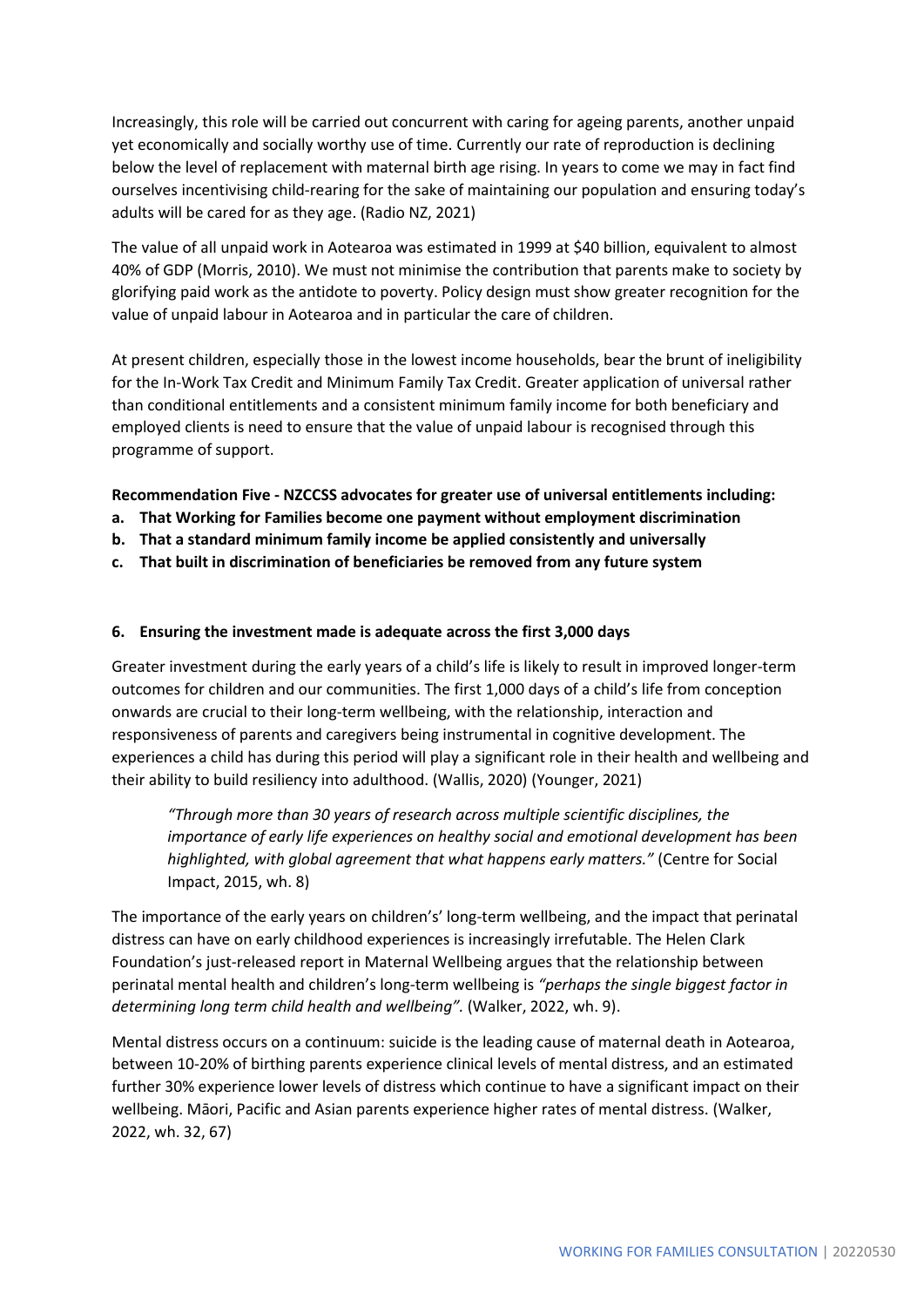Increasingly, this role will be carried out concurrent with caring for ageing parents, another unpaid yet economically and socially worthy use of time. Currently our rate of reproduction is declining below the level of replacement with maternal birth age rising. In years to come we may in fact find ourselves incentivising child-rearing for the sake of maintaining our population and ensuring today's adults will be cared for as they age. (Radio NZ, 2021)

The value of all unpaid work in Aotearoa was estimated in 1999 at \$40 billion, equivalent to almost 40% of GDP (Morris, 2010). We must not minimise the contribution that parents make to society by glorifying paid work as the antidote to poverty. Policy design must show greater recognition for the value of unpaid labour in Aotearoa and in particular the care of children.

At present children, especially those in the lowest income households, bear the brunt of ineligibility for the In-Work Tax Credit and Minimum Family Tax Credit. Greater application of universal rather than conditional entitlements and a consistent minimum family income for both beneficiary and employed clients is need to ensure that the value of unpaid labour is recognised through this programme of support.

**Recommendation Five - NZCCSS advocates for greater use of universal entitlements including:**

- **a. That Working for Families become one payment without employment discrimination**
- **b. That a standard minimum family income be applied consistently and universally**
- **c. That built in discrimination of beneficiaries be removed from any future system**

#### **6. Ensuring the investment made is adequate across the first 3,000 days**

Greater investment during the early years of a child's life is likely to result in improved longer-term outcomes for children and our communities. The first 1,000 days of a child's life from conception onwards are crucial to their long-term wellbeing, with the relationship, interaction and responsiveness of parents and caregivers being instrumental in cognitive development. The experiences a child has during this period will play a significant role in their health and wellbeing and their ability to build resiliency into adulthood. (Wallis, 2020) (Younger, 2021)

*"Through more than 30 years of research across multiple scientific disciplines, the importance of early life experiences on healthy social and emotional development has been highlighted, with global agreement that what happens early matters."* (Centre for Social Impact, 2015, wh. 8)

The importance of the early years on children's' long-term wellbeing, and the impact that perinatal distress can have on early childhood experiences is increasingly irrefutable. The Helen Clark Foundation's just-released report in Maternal Wellbeing argues that the relationship between perinatal mental health and children's long-term wellbeing is *"perhaps the single biggest factor in determining long term child health and wellbeing".* (Walker, 2022, wh. 9).

Mental distress occurs on a continuum: suicide is the leading cause of maternal death in Aotearoa, between 10-20% of birthing parents experience clinical levels of mental distress, and an estimated further 30% experience lower levels of distress which continue to have a significant impact on their wellbeing. Māori, Pacific and Asian parents experience higher rates of mental distress. (Walker, 2022, wh. 32, 67)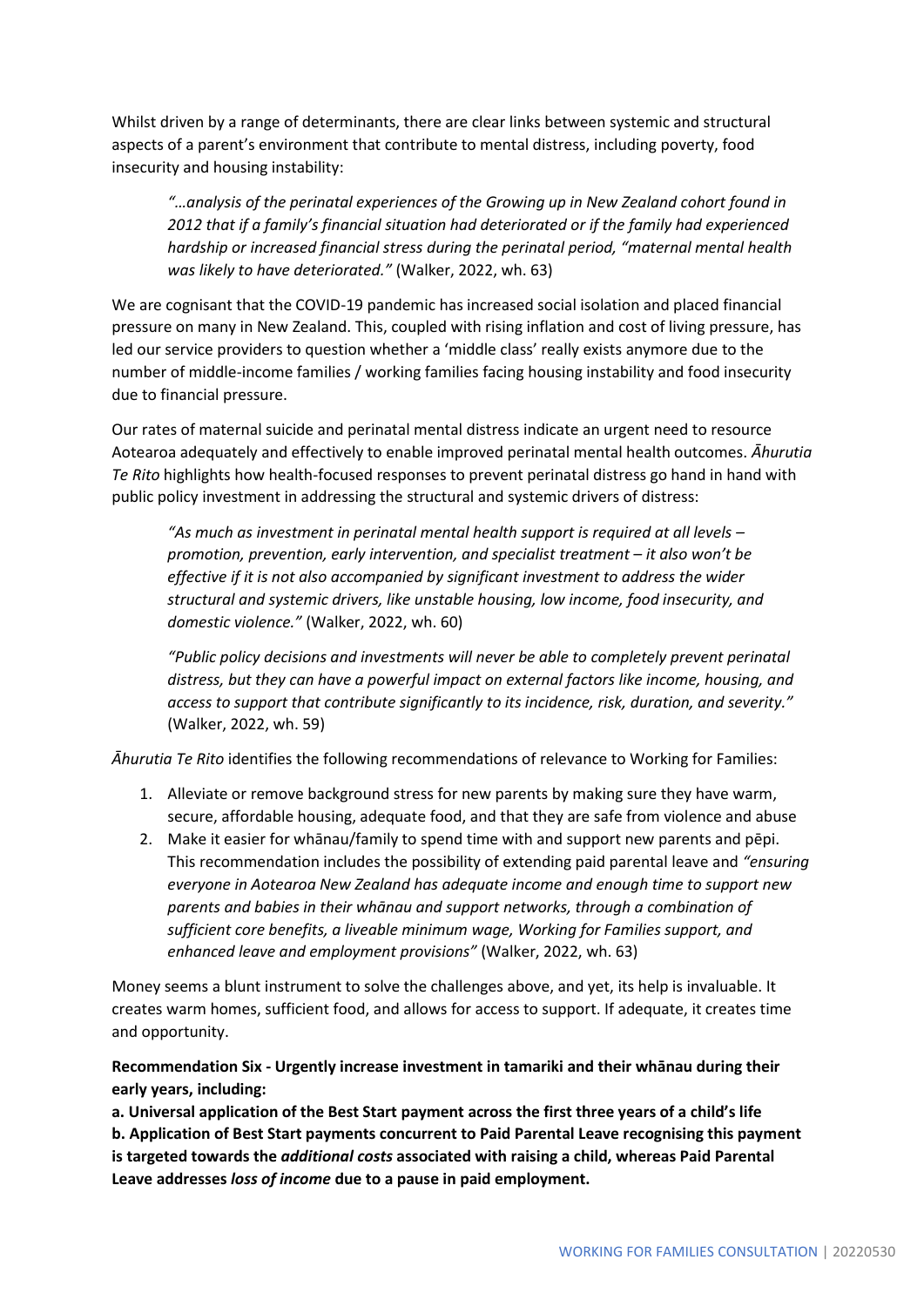Whilst driven by a range of determinants, there are clear links between systemic and structural aspects of a parent's environment that contribute to mental distress, including poverty, food insecurity and housing instability:

*"…analysis of the perinatal experiences of the Growing up in New Zealand cohort found in 2012 that if a family's financial situation had deteriorated or if the family had experienced hardship or increased financial stress during the perinatal period, "maternal mental health was likely to have deteriorated."* (Walker, 2022, wh. 63)

We are cognisant that the COVID-19 pandemic has increased social isolation and placed financial pressure on many in New Zealand. This, coupled with rising inflation and cost of living pressure, has led our service providers to question whether a 'middle class' really exists anymore due to the number of middle-income families / working families facing housing instability and food insecurity due to financial pressure.

Our rates of maternal suicide and perinatal mental distress indicate an urgent need to resource Aotearoa adequately and effectively to enable improved perinatal mental health outcomes. *Āhurutia Te Rito* highlights how health-focused responses to prevent perinatal distress go hand in hand with public policy investment in addressing the structural and systemic drivers of distress:

*"As much as investment in perinatal mental health support is required at all levels – promotion, prevention, early intervention, and specialist treatment – it also won't be effective if it is not also accompanied by significant investment to address the wider structural and systemic drivers, like unstable housing, low income, food insecurity, and domestic violence."* (Walker, 2022, wh. 60)

*"Public policy decisions and investments will never be able to completely prevent perinatal distress, but they can have a powerful impact on external factors like income, housing, and access to support that contribute significantly to its incidence, risk, duration, and severity."* (Walker, 2022, wh. 59)

*Āhurutia Te Rito* identifies the following recommendations of relevance to Working for Families:

- 1. Alleviate or remove background stress for new parents by making sure they have warm, secure, affordable housing, adequate food, and that they are safe from violence and abuse
- 2. Make it easier for whānau/family to spend time with and support new parents and pēpi. This recommendation includes the possibility of extending paid parental leave and *"ensuring everyone in Aotearoa New Zealand has adequate income and enough time to support new parents and babies in their whānau and support networks, through a combination of sufficient core benefits, a liveable minimum wage, Working for Families support, and enhanced leave and employment provisions"* (Walker, 2022, wh. 63)

Money seems a blunt instrument to solve the challenges above, and yet, its help is invaluable. It creates warm homes, sufficient food, and allows for access to support. If adequate, it creates time and opportunity.

# **Recommendation Six - Urgently increase investment in tamariki and their whānau during their early years, including:**

**a. Universal application of the Best Start payment across the first three years of a child's life b. Application of Best Start payments concurrent to Paid Parental Leave recognising this payment is targeted towards the** *additional costs* **associated with raising a child, whereas Paid Parental Leave addresses** *loss of income* **due to a pause in paid employment.**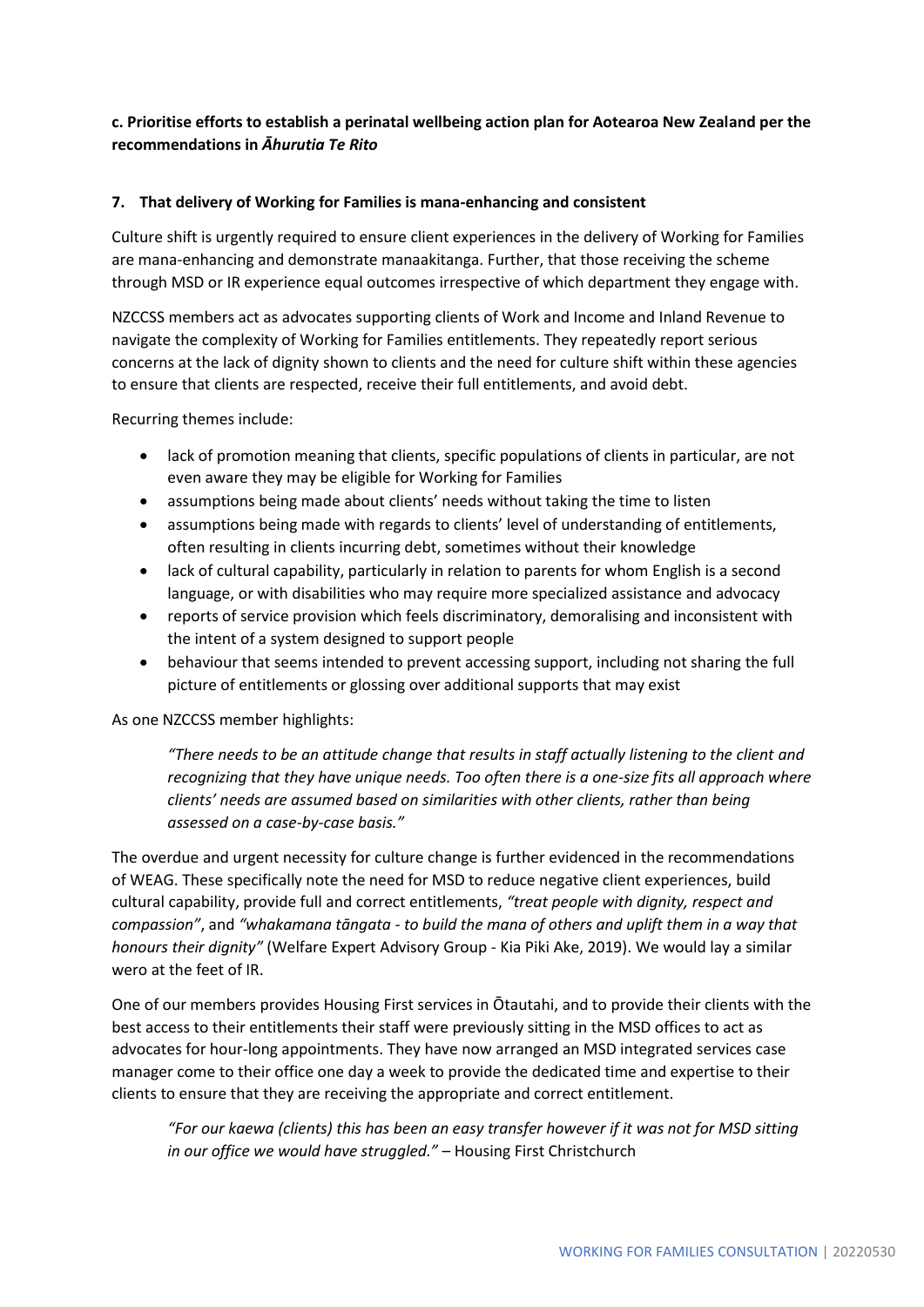# **c. Prioritise efforts to establish a perinatal wellbeing action plan for Aotearoa New Zealand per the recommendations in** *Āhurutia Te Rito*

#### **7. That delivery of Working for Families is mana-enhancing and consistent**

Culture shift is urgently required to ensure client experiences in the delivery of Working for Families are mana-enhancing and demonstrate manaakitanga. Further, that those receiving the scheme through MSD or IR experience equal outcomes irrespective of which department they engage with.

NZCCSS members act as advocates supporting clients of Work and Income and Inland Revenue to navigate the complexity of Working for Families entitlements. They repeatedly report serious concerns at the lack of dignity shown to clients and the need for culture shift within these agencies to ensure that clients are respected, receive their full entitlements, and avoid debt.

Recurring themes include:

- lack of promotion meaning that clients, specific populations of clients in particular, are not even aware they may be eligible for Working for Families
- assumptions being made about clients' needs without taking the time to listen
- assumptions being made with regards to clients' level of understanding of entitlements, often resulting in clients incurring debt, sometimes without their knowledge
- lack of cultural capability, particularly in relation to parents for whom English is a second language, or with disabilities who may require more specialized assistance and advocacy
- reports of service provision which feels discriminatory, demoralising and inconsistent with the intent of a system designed to support people
- behaviour that seems intended to prevent accessing support, including not sharing the full picture of entitlements or glossing over additional supports that may exist

#### As one NZCCSS member highlights:

*"There needs to be an attitude change that results in staff actually listening to the client and recognizing that they have unique needs. Too often there is a one-size fits all approach where clients' needs are assumed based on similarities with other clients, rather than being assessed on a case-by-case basis."*

The overdue and urgent necessity for culture change is further evidenced in the recommendations of WEAG. These specifically note the need for MSD to reduce negative client experiences, build cultural capability, provide full and correct entitlements, *"treat people with dignity, respect and compassion"*, and *"whakamana tāngata - to build the mana of others and uplift them in a way that honours their dignity"* (Welfare Expert Advisory Group - Kia Piki Ake, 2019). We would lay a similar wero at the feet of IR.

One of our members provides Housing First services in Ōtautahi, and to provide their clients with the best access to their entitlements their staff were previously sitting in the MSD offices to act as advocates for hour-long appointments. They have now arranged an MSD integrated services case manager come to their office one day a week to provide the dedicated time and expertise to their clients to ensure that they are receiving the appropriate and correct entitlement.

*"For our kaewa (clients) this has been an easy transfer however if it was not for MSD sitting in our office we would have struggled."* – Housing First Christchurch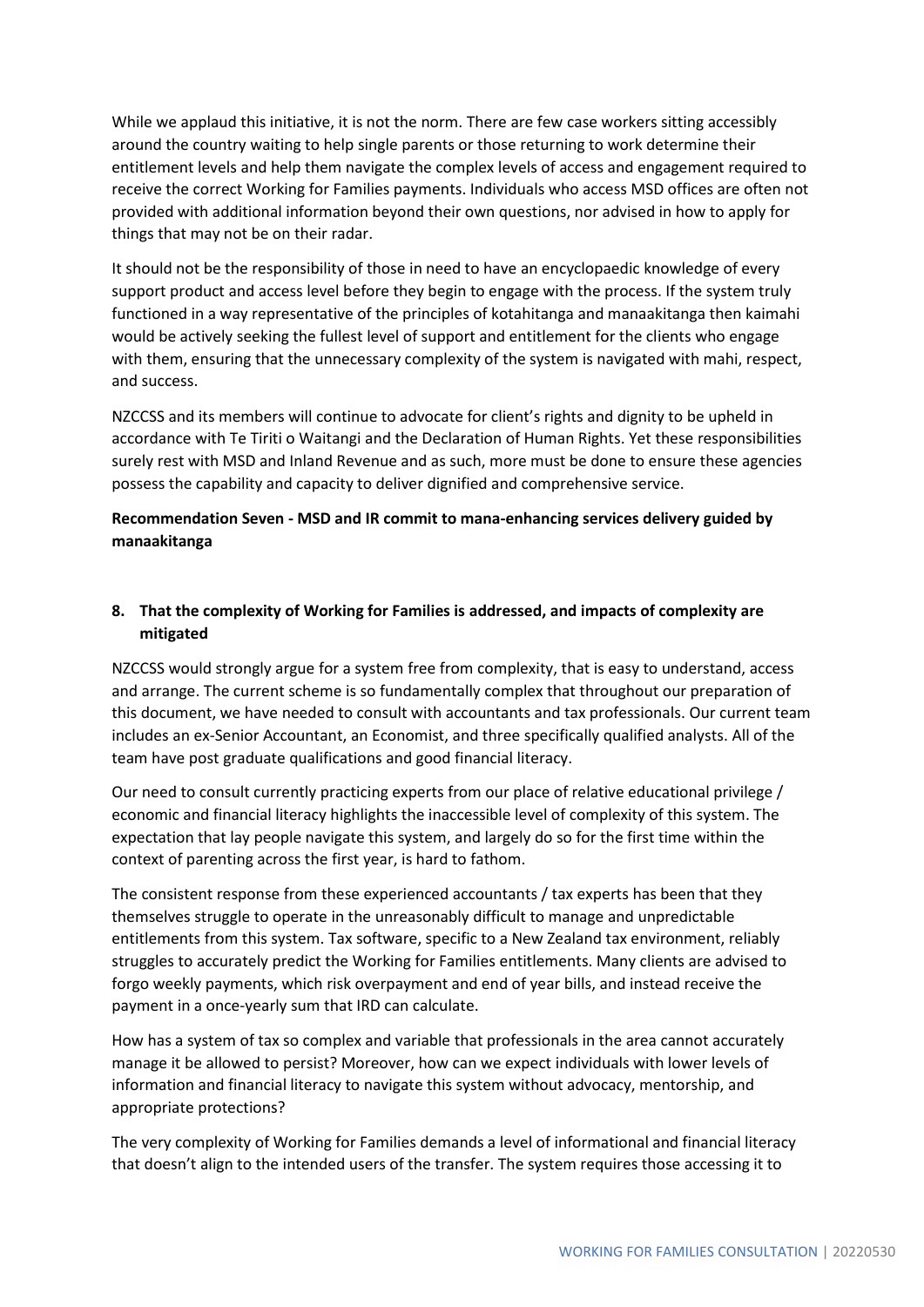While we applaud this initiative, it is not the norm. There are few case workers sitting accessibly around the country waiting to help single parents or those returning to work determine their entitlement levels and help them navigate the complex levels of access and engagement required to receive the correct Working for Families payments. Individuals who access MSD offices are often not provided with additional information beyond their own questions, nor advised in how to apply for things that may not be on their radar.

It should not be the responsibility of those in need to have an encyclopaedic knowledge of every support product and access level before they begin to engage with the process. If the system truly functioned in a way representative of the principles of kotahitanga and manaakitanga then kaimahi would be actively seeking the fullest level of support and entitlement for the clients who engage with them, ensuring that the unnecessary complexity of the system is navigated with mahi, respect, and success.

NZCCSS and its members will continue to advocate for client's rights and dignity to be upheld in accordance with Te Tiriti o Waitangi and the Declaration of Human Rights. Yet these responsibilities surely rest with MSD and Inland Revenue and as such, more must be done to ensure these agencies possess the capability and capacity to deliver dignified and comprehensive service.

# **Recommendation Seven - MSD and IR commit to mana-enhancing services delivery guided by manaakitanga**

# **8. That the complexity of Working for Families is addressed, and impacts of complexity are mitigated**

NZCCSS would strongly argue for a system free from complexity, that is easy to understand, access and arrange. The current scheme is so fundamentally complex that throughout our preparation of this document, we have needed to consult with accountants and tax professionals. Our current team includes an ex-Senior Accountant, an Economist, and three specifically qualified analysts. All of the team have post graduate qualifications and good financial literacy.

Our need to consult currently practicing experts from our place of relative educational privilege / economic and financial literacy highlights the inaccessible level of complexity of this system. The expectation that lay people navigate this system, and largely do so for the first time within the context of parenting across the first year, is hard to fathom.

The consistent response from these experienced accountants / tax experts has been that they themselves struggle to operate in the unreasonably difficult to manage and unpredictable entitlements from this system. Tax software, specific to a New Zealand tax environment, reliably struggles to accurately predict the Working for Families entitlements. Many clients are advised to forgo weekly payments, which risk overpayment and end of year bills, and instead receive the payment in a once-yearly sum that IRD can calculate.

How has a system of tax so complex and variable that professionals in the area cannot accurately manage it be allowed to persist? Moreover, how can we expect individuals with lower levels of information and financial literacy to navigate this system without advocacy, mentorship, and appropriate protections?

The very complexity of Working for Families demands a level of informational and financial literacy that doesn't align to the intended users of the transfer. The system requires those accessing it to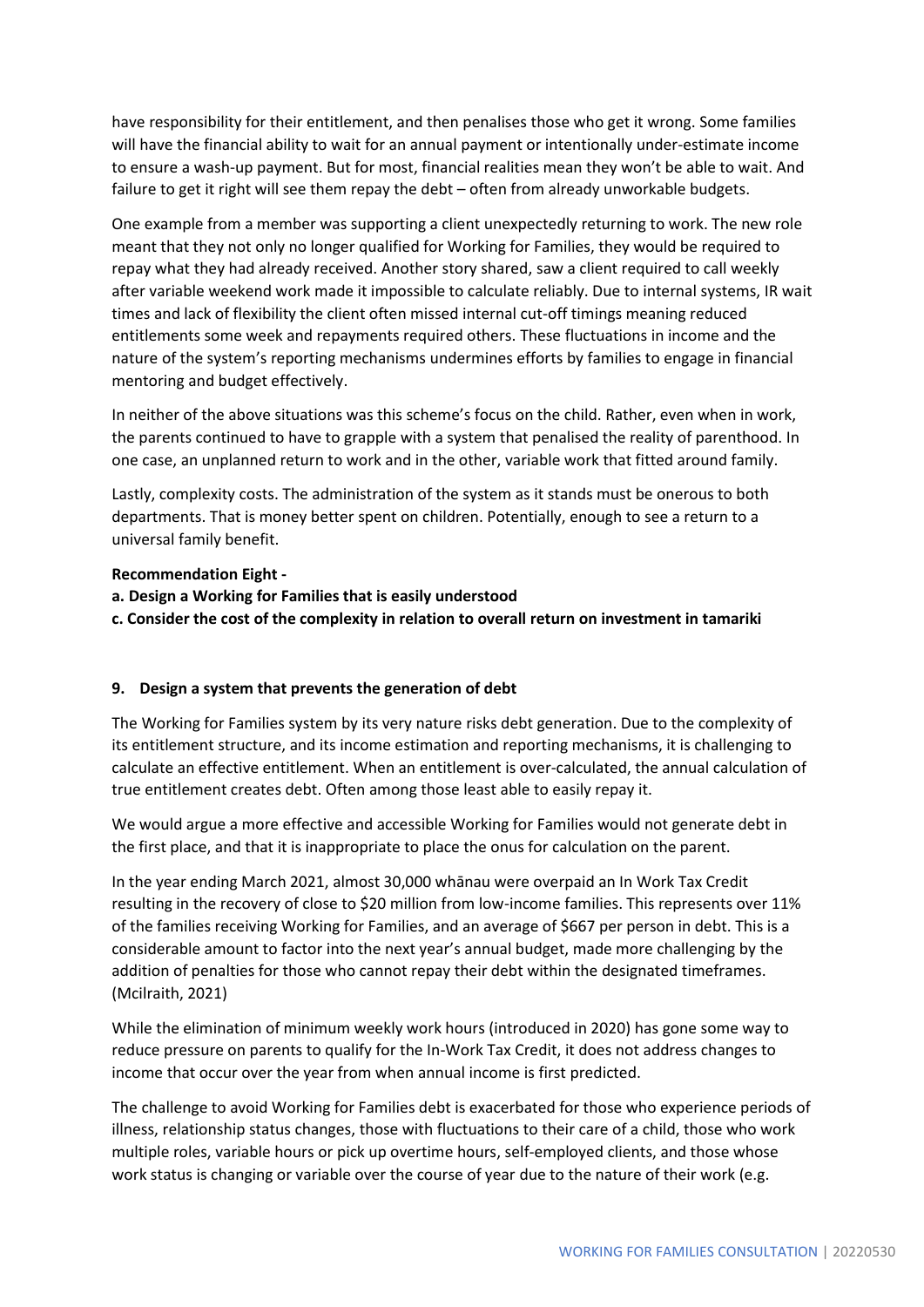have responsibility for their entitlement, and then penalises those who get it wrong. Some families will have the financial ability to wait for an annual payment or intentionally under-estimate income to ensure a wash-up payment. But for most, financial realities mean they won't be able to wait. And failure to get it right will see them repay the debt – often from already unworkable budgets.

One example from a member was supporting a client unexpectedly returning to work. The new role meant that they not only no longer qualified for Working for Families, they would be required to repay what they had already received. Another story shared, saw a client required to call weekly after variable weekend work made it impossible to calculate reliably. Due to internal systems, IR wait times and lack of flexibility the client often missed internal cut-off timings meaning reduced entitlements some week and repayments required others. These fluctuations in income and the nature of the system's reporting mechanisms undermines efforts by families to engage in financial mentoring and budget effectively.

In neither of the above situations was this scheme's focus on the child. Rather, even when in work, the parents continued to have to grapple with a system that penalised the reality of parenthood. In one case, an unplanned return to work and in the other, variable work that fitted around family.

Lastly, complexity costs. The administration of the system as it stands must be onerous to both departments. That is money better spent on children. Potentially, enough to see a return to a universal family benefit.

#### **Recommendation Eight -**

- **a. Design a Working for Families that is easily understood**
- **c. Consider the cost of the complexity in relation to overall return on investment in tamariki**

#### **9. Design a system that prevents the generation of debt**

The Working for Families system by its very nature risks debt generation. Due to the complexity of its entitlement structure, and its income estimation and reporting mechanisms, it is challenging to calculate an effective entitlement. When an entitlement is over-calculated, the annual calculation of true entitlement creates debt. Often among those least able to easily repay it.

We would argue a more effective and accessible Working for Families would not generate debt in the first place, and that it is inappropriate to place the onus for calculation on the parent.

In the year ending March 2021, almost 30,000 whānau were overpaid an In Work Tax Credit resulting in the recovery of close to \$20 million from low-income families. This represents over 11% of the families receiving Working for Families, and an average of \$667 per person in debt. This is a considerable amount to factor into the next year's annual budget, made more challenging by the addition of penalties for those who cannot repay their debt within the designated timeframes. (Mcilraith, 2021)

While the elimination of minimum weekly work hours (introduced in 2020) has gone some way to reduce pressure on parents to qualify for the In-Work Tax Credit, it does not address changes to income that occur over the year from when annual income is first predicted.

The challenge to avoid Working for Families debt is exacerbated for those who experience periods of illness, relationship status changes, those with fluctuations to their care of a child, those who work multiple roles, variable hours or pick up overtime hours, self-employed clients, and those whose work status is changing or variable over the course of year due to the nature of their work (e.g.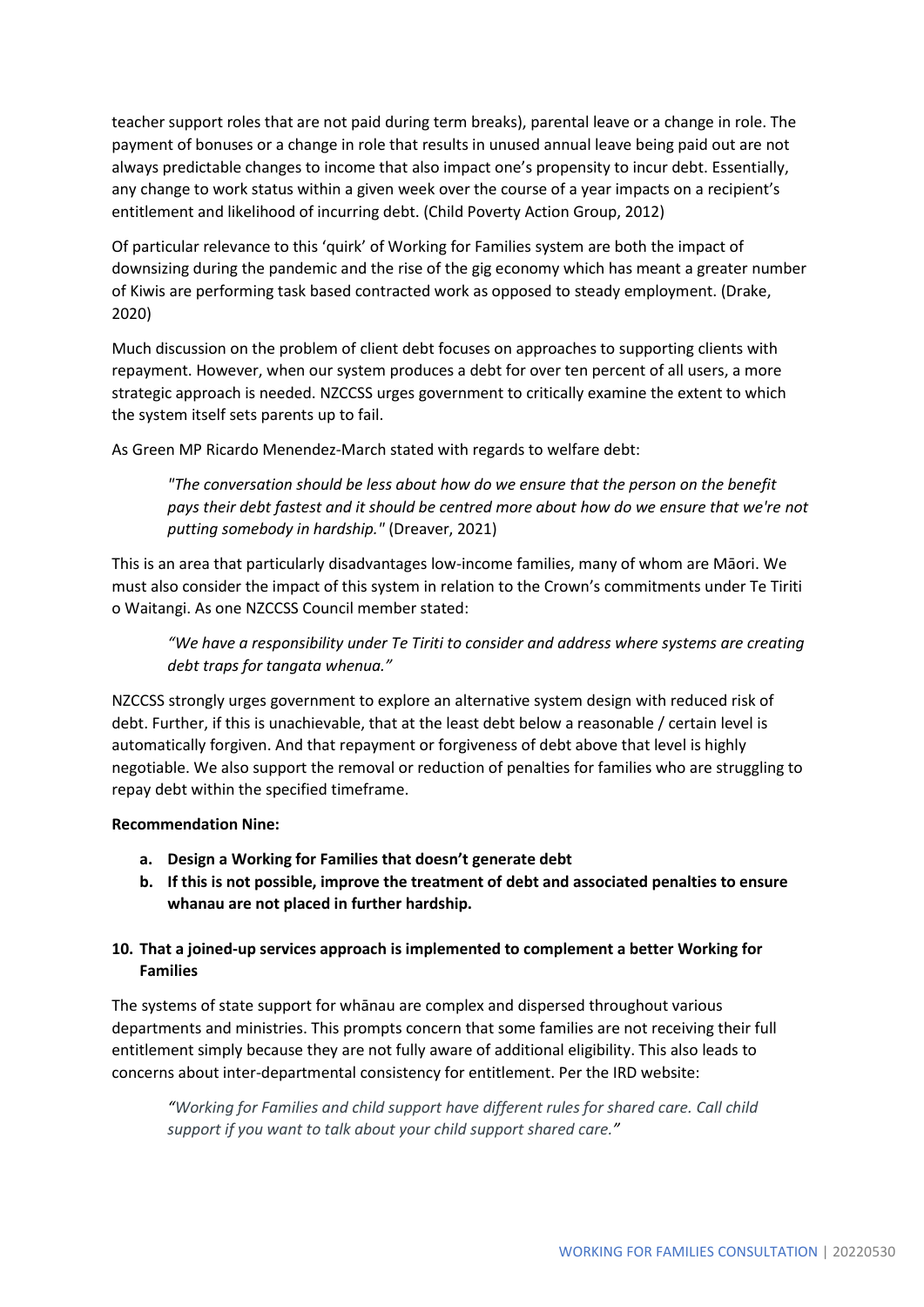teacher support roles that are not paid during term breaks), parental leave or a change in role. The payment of bonuses or a change in role that results in unused annual leave being paid out are not always predictable changes to income that also impact one's propensity to incur debt. Essentially, any change to work status within a given week over the course of a year impacts on a recipient's entitlement and likelihood of incurring debt. (Child Poverty Action Group, 2012)

Of particular relevance to this 'quirk' of Working for Families system are both the impact of downsizing during the pandemic and the rise of the gig economy which has meant a greater number of Kiwis are performing task based contracted work as opposed to steady employment. (Drake, 2020)

Much discussion on the problem of client debt focuses on approaches to supporting clients with repayment. However, when our system produces a debt for over ten percent of all users, a more strategic approach is needed. NZCCSS urges government to critically examine the extent to which the system itself sets parents up to fail.

As Green MP Ricardo Menendez-March stated with regards to welfare debt:

*"The conversation should be less about how do we ensure that the person on the benefit pays their debt fastest and it should be centred more about how do we ensure that we're not putting somebody in hardship."* (Dreaver, 2021)

This is an area that particularly disadvantages low-income families, many of whom are Māori. We must also consider the impact of this system in relation to the Crown's commitments under Te Tiriti o Waitangi. As one NZCCSS Council member stated:

*"We have a responsibility under Te Tiriti to consider and address where systems are creating debt traps for tangata whenua."*

NZCCSS strongly urges government to explore an alternative system design with reduced risk of debt. Further, if this is unachievable, that at the least debt below a reasonable / certain level is automatically forgiven. And that repayment or forgiveness of debt above that level is highly negotiable. We also support the removal or reduction of penalties for families who are struggling to repay debt within the specified timeframe.

#### **Recommendation Nine:**

- **a. Design a Working for Families that doesn't generate debt**
- **b. If this is not possible, improve the treatment of debt and associated penalties to ensure whanau are not placed in further hardship.**

# **10. That a joined-up services approach is implemented to complement a better Working for Families**

The systems of state support for whānau are complex and dispersed throughout various departments and ministries. This prompts concern that some families are not receiving their full entitlement simply because they are not fully aware of additional eligibility. This also leads to concerns about inter-departmental consistency for entitlement. Per the IRD website:

*"Working for Families and child support have different rules for shared care. Call child support if you want to talk about your child support shared care."*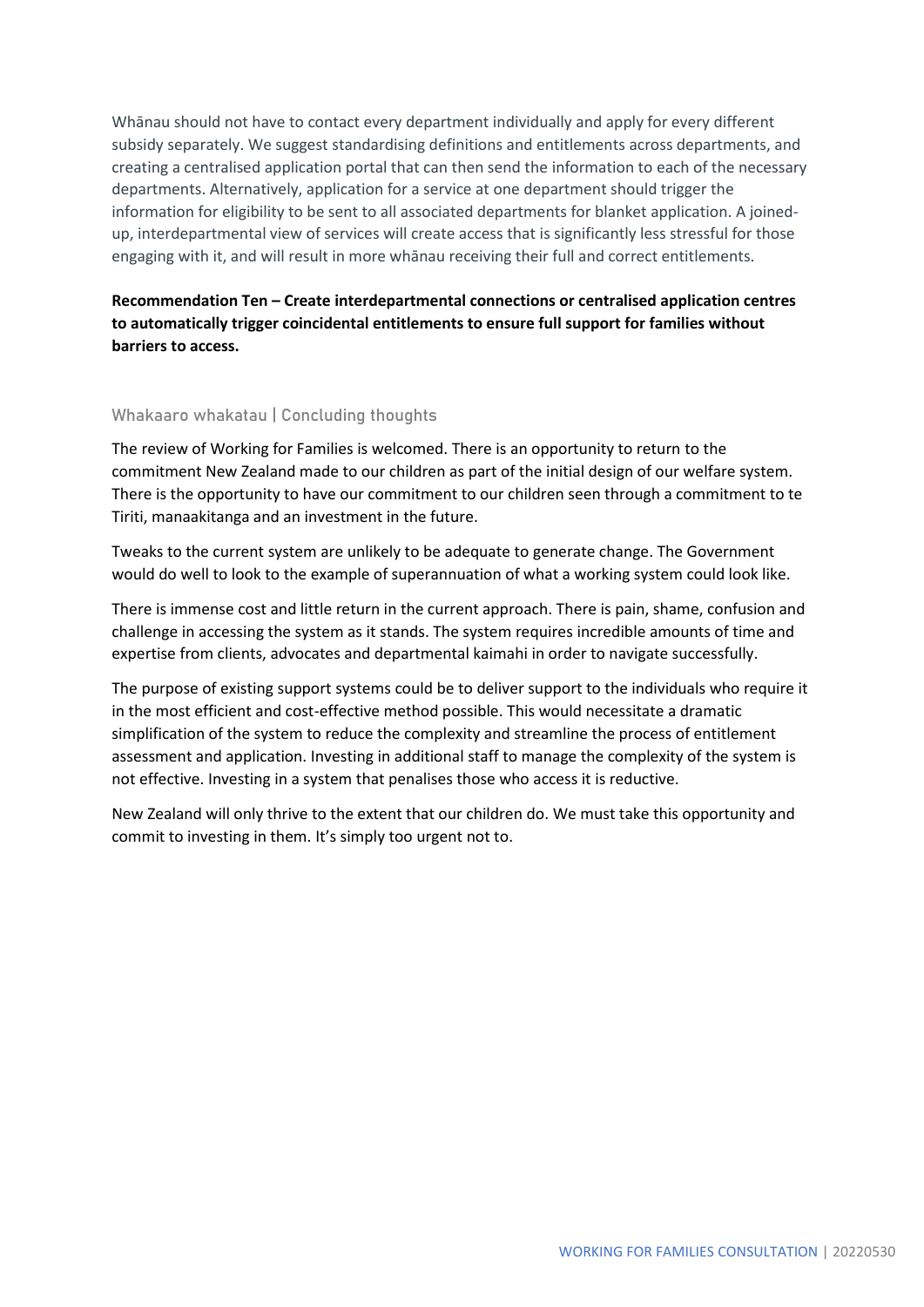Whānau should not have to contact every department individually and apply for every different subsidy separately. We suggest standardising definitions and entitlements across departments, and creating a centralised application portal that can then send the information to each of the necessary departments. Alternatively, application for a service at one department should trigger the information for eligibility to be sent to all associated departments for blanket application. A joinedup, interdepartmental view of services will create access that is significantly less stressful for those engaging with it, and will result in more whānau receiving their full and correct entitlements.

**Recommendation Ten – Create interdepartmental connections or centralised application centres to automatically trigger coincidental entitlements to ensure full support for families without barriers to access.**

#### **Whakaaro whakatau | Concluding thoughts**

The review of Working for Families is welcomed. There is an opportunity to return to the commitment New Zealand made to our children as part of the initial design of our welfare system. There is the opportunity to have our commitment to our children seen through a commitment to te Tiriti, manaakitanga and an investment in the future.

Tweaks to the current system are unlikely to be adequate to generate change. The Government would do well to look to the example of superannuation of what a working system could look like.

There is immense cost and little return in the current approach. There is pain, shame, confusion and challenge in accessing the system as it stands. The system requires incredible amounts of time and expertise from clients, advocates and departmental kaimahi in order to navigate successfully.

The purpose of existing support systems could be to deliver support to the individuals who require it in the most efficient and cost-effective method possible. This would necessitate a dramatic simplification of the system to reduce the complexity and streamline the process of entitlement assessment and application. Investing in additional staff to manage the complexity of the system is not effective. Investing in a system that penalises those who access it is reductive.

New Zealand will only thrive to the extent that our children do. We must take this opportunity and commit to investing in them. It's simply too urgent not to.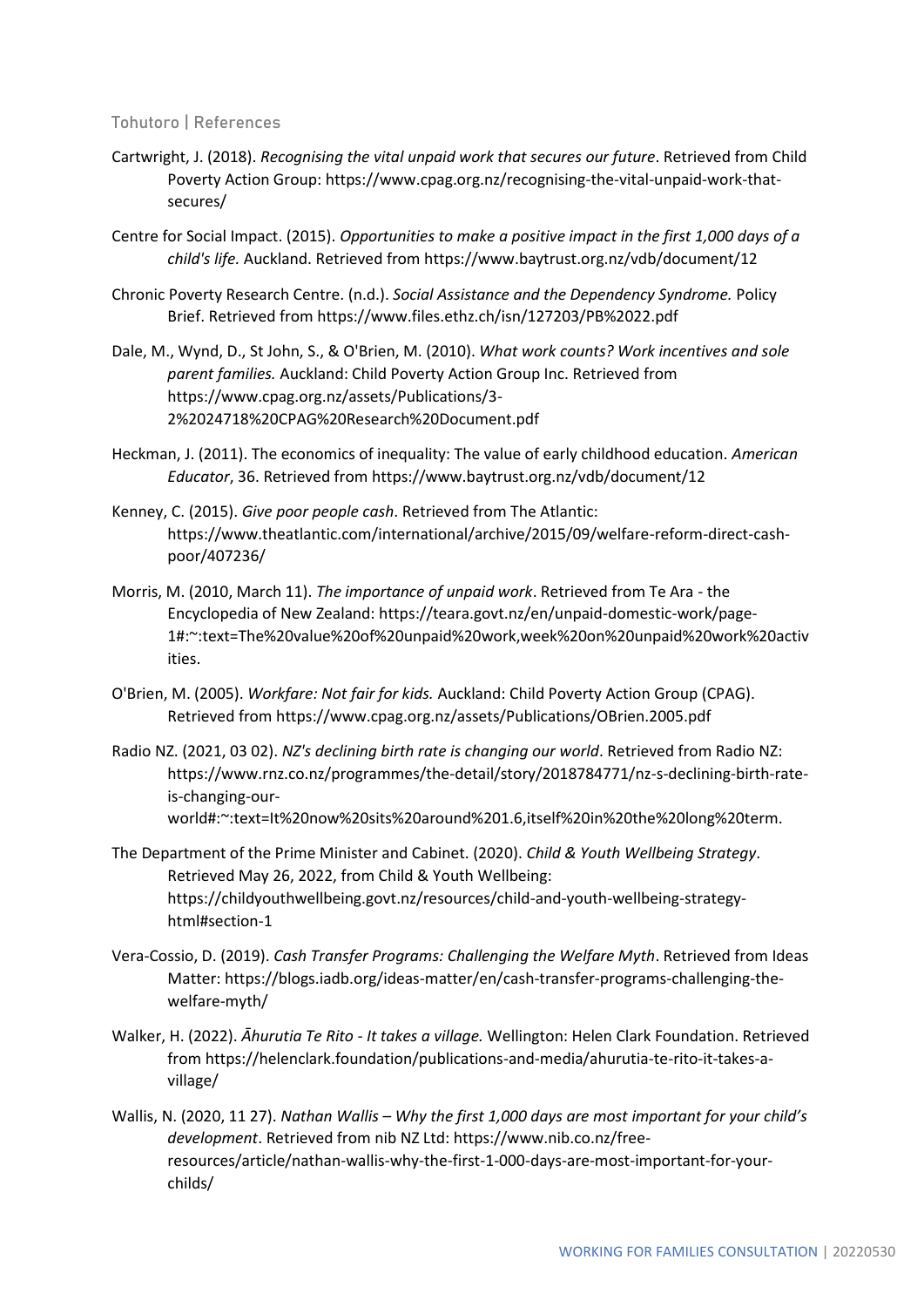#### **Tohutoro | References**

- Cartwright, J. (2018). *Recognising the vital unpaid work that secures our future*. Retrieved from Child Poverty Action Group: https://www.cpag.org.nz/recognising-the-vital-unpaid-work-thatsecures/
- Centre for Social Impact. (2015). *Opportunities to make a positive impact in the first 1,000 days of a child's life.* Auckland. Retrieved from https://www.baytrust.org.nz/vdb/document/12
- Chronic Poverty Research Centre. (n.d.). *Social Assistance and the Dependency Syndrome.* Policy Brief. Retrieved from https://www.files.ethz.ch/isn/127203/PB%2022.pdf
- Dale, M., Wynd, D., St John, S., & O'Brien, M. (2010). *What work counts? Work incentives and sole parent families.* Auckland: Child Poverty Action Group Inc. Retrieved from https://www.cpag.org.nz/assets/Publications/3- 2%2024718%20CPAG%20Research%20Document.pdf
- Heckman, J. (2011). The economics of inequality: The value of early childhood education. *American Educator*, 36. Retrieved from https://www.baytrust.org.nz/vdb/document/12
- Kenney, C. (2015). *Give poor people cash*. Retrieved from The Atlantic: https://www.theatlantic.com/international/archive/2015/09/welfare-reform-direct-cashpoor/407236/
- Morris, M. (2010, March 11). *The importance of unpaid work*. Retrieved from Te Ara the Encyclopedia of New Zealand: https://teara.govt.nz/en/unpaid-domestic-work/page-1#:~:text=The%20value%20of%20unpaid%20work,week%20on%20unpaid%20work%20activ ities.
- O'Brien, M. (2005). *Workfare: Not fair for kids.* Auckland: Child Poverty Action Group (CPAG). Retrieved from https://www.cpag.org.nz/assets/Publications/OBrien.2005.pdf
- Radio NZ. (2021, 03 02). *NZ's declining birth rate is changing our world*. Retrieved from Radio NZ: https://www.rnz.co.nz/programmes/the-detail/story/2018784771/nz-s-declining-birth-rateis-changing-ourworld#:~:text=It%20now%20sits%20around%201.6,itself%20in%20the%20long%20term.
- The Department of the Prime Minister and Cabinet. (2020). *Child & Youth Wellbeing Strategy*. Retrieved May 26, 2022, from Child & Youth Wellbeing: https://childyouthwellbeing.govt.nz/resources/child-and-youth-wellbeing-strategyhtml#section-1
- Vera-Cossio, D. (2019). *Cash Transfer Programs: Challenging the Welfare Myth*. Retrieved from Ideas Matter: https://blogs.iadb.org/ideas-matter/en/cash-transfer-programs-challenging-thewelfare-myth/
- Walker, H. (2022). *Āhurutia Te Rito - It takes a village.* Wellington: Helen Clark Foundation. Retrieved from https://helenclark.foundation/publications-and-media/ahurutia-te-rito-it-takes-avillage/
- Wallis, N. (2020, 11 27). *Nathan Wallis – Why the first 1,000 days are most important for your child's development*. Retrieved from nib NZ Ltd: https://www.nib.co.nz/freeresources/article/nathan-wallis-why-the-first-1-000-days-are-most-important-for-yourchilds/